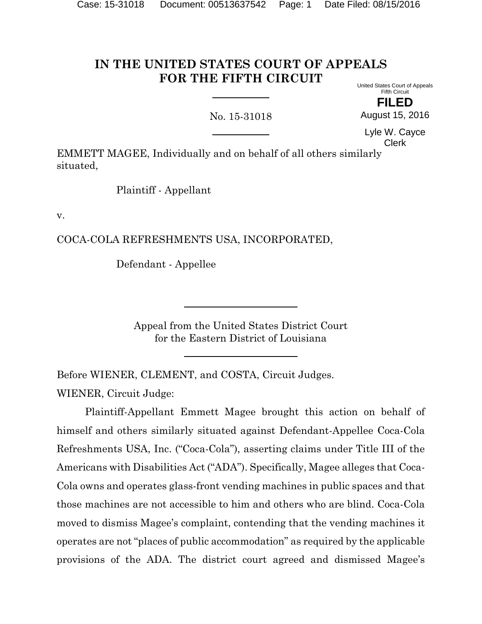#### **IN THE UNITED STATES COURT OF APPEALS FOR THE FIFTH CIRCUIT** United States Court of Appeals

No. 15-31018

Fifth Circuit **FILED**

August 15, 2016

Lyle W. Cayce Clerk

EMMETT MAGEE, Individually and on behalf of all others similarly situated,

Plaintiff - Appellant

v.

COCA-COLA REFRESHMENTS USA, INCORPORATED,

Defendant - Appellee

Appeal from the United States District Court for the Eastern District of Louisiana

Before WIENER, CLEMENT, and COSTA, Circuit Judges.

WIENER, Circuit Judge:

Plaintiff-Appellant Emmett Magee brought this action on behalf of himself and others similarly situated against Defendant-Appellee Coca-Cola Refreshments USA, Inc. ("Coca-Cola"), asserting claims under Title III of the Americans with Disabilities Act ("ADA"). Specifically, Magee alleges that Coca-Cola owns and operates glass-front vending machines in public spaces and that those machines are not accessible to him and others who are blind. Coca-Cola moved to dismiss Magee's complaint, contending that the vending machines it operates are not "places of public accommodation" as required by the applicable provisions of the ADA. The district court agreed and dismissed Magee's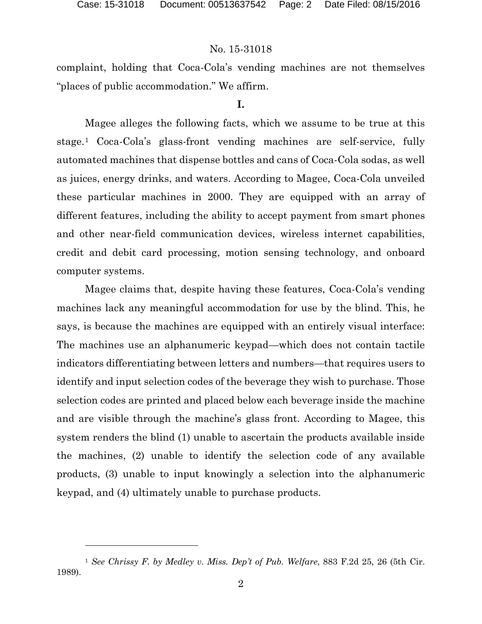l

# No. 15-31018

complaint, holding that Coca-Cola's vending machines are not themselves "places of public accommodation." We affirm.

#### **I.**

Magee alleges the following facts, which we assume to be true at this stage.[1](#page-1-0) Coca-Cola's glass-front vending machines are self-service, fully automated machines that dispense bottles and cans of Coca-Cola sodas, as well as juices, energy drinks, and waters. According to Magee, Coca-Cola unveiled these particular machines in 2000. They are equipped with an array of different features, including the ability to accept payment from smart phones and other near-field communication devices, wireless internet capabilities, credit and debit card processing, motion sensing technology, and onboard computer systems.

Magee claims that, despite having these features, Coca-Cola's vending machines lack any meaningful accommodation for use by the blind. This, he says, is because the machines are equipped with an entirely visual interface: The machines use an alphanumeric keypad—which does not contain tactile indicators differentiating between letters and numbers—that requires users to identify and input selection codes of the beverage they wish to purchase. Those selection codes are printed and placed below each beverage inside the machine and are visible through the machine's glass front. According to Magee, this system renders the blind (1) unable to ascertain the products available inside the machines, (2) unable to identify the selection code of any available products, (3) unable to input knowingly a selection into the alphanumeric keypad, and (4) ultimately unable to purchase products.

<span id="page-1-0"></span><sup>1</sup> *See Chrissy F. by Medley v. Miss. Dep't of Pub. Welfare*, 883 F.2d 25, 26 (5th Cir. 1989).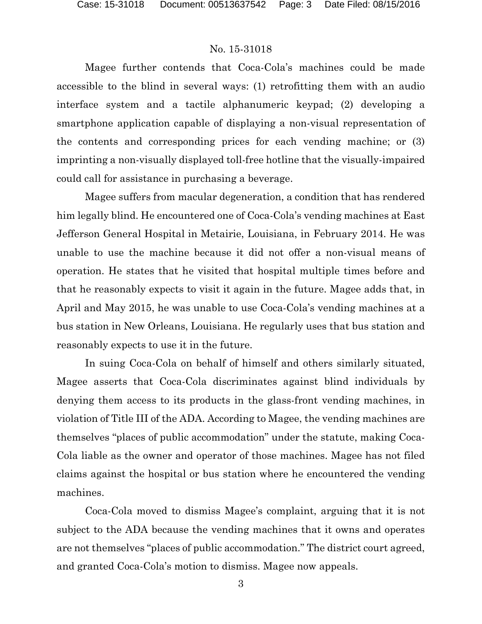Magee further contends that Coca-Cola's machines could be made accessible to the blind in several ways: (1) retrofitting them with an audio interface system and a tactile alphanumeric keypad; (2) developing a smartphone application capable of displaying a non-visual representation of the contents and corresponding prices for each vending machine; or (3) imprinting a non-visually displayed toll-free hotline that the visually-impaired could call for assistance in purchasing a beverage.

Magee suffers from macular degeneration, a condition that has rendered him legally blind. He encountered one of Coca-Cola's vending machines at East Jefferson General Hospital in Metairie, Louisiana, in February 2014. He was unable to use the machine because it did not offer a non-visual means of operation. He states that he visited that hospital multiple times before and that he reasonably expects to visit it again in the future. Magee adds that, in April and May 2015, he was unable to use Coca-Cola's vending machines at a bus station in New Orleans, Louisiana. He regularly uses that bus station and reasonably expects to use it in the future.

In suing Coca-Cola on behalf of himself and others similarly situated, Magee asserts that Coca-Cola discriminates against blind individuals by denying them access to its products in the glass-front vending machines, in violation of Title III of the ADA. According to Magee, the vending machines are themselves "places of public accommodation" under the statute, making Coca-Cola liable as the owner and operator of those machines. Magee has not filed claims against the hospital or bus station where he encountered the vending machines.

Coca-Cola moved to dismiss Magee's complaint, arguing that it is not subject to the ADA because the vending machines that it owns and operates are not themselves "places of public accommodation." The district court agreed, and granted Coca-Cola's motion to dismiss. Magee now appeals.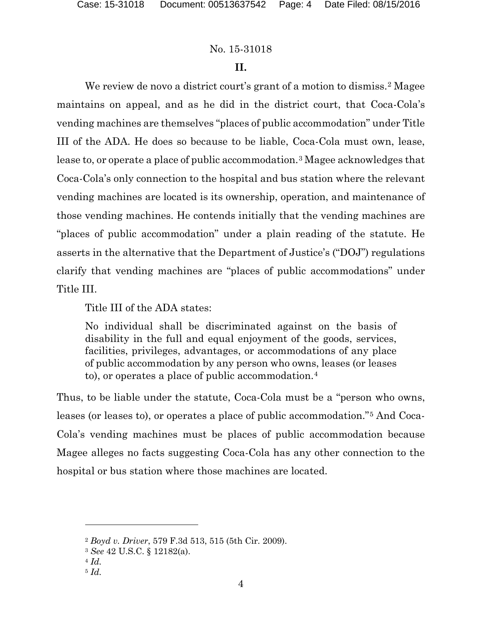# **II.**

We review de novo a district court's grant of a motion to dismiss.<sup>[2](#page-3-0)</sup> Magee maintains on appeal, and as he did in the district court, that Coca-Cola's vending machines are themselves "places of public accommodation" under Title III of the ADA. He does so because to be liable, Coca-Cola must own, lease, lease to, or operate a place of public accommodation.[3](#page-3-1) Magee acknowledges that Coca-Cola's only connection to the hospital and bus station where the relevant vending machines are located is its ownership, operation, and maintenance of those vending machines. He contends initially that the vending machines are "places of public accommodation" under a plain reading of the statute. He asserts in the alternative that the Department of Justice's ("DOJ") regulations clarify that vending machines are "places of public accommodations" under Title III.

Title III of the ADA states:

No individual shall be discriminated against on the basis of disability in the full and equal enjoyment of the goods, services, facilities, privileges, advantages, or accommodations of any place of public accommodation by any person who owns, leases (or leases to), or operates a place of public accommodation.[4](#page-3-2)

Thus, to be liable under the statute, Coca-Cola must be a "person who owns, leases (or leases to), or operates a place of public accommodation."[5](#page-3-3) And Coca-Cola's vending machines must be places of public accommodation because Magee alleges no facts suggesting Coca-Cola has any other connection to the hospital or bus station where those machines are located.

 $\overline{a}$ 

<span id="page-3-0"></span><sup>2</sup> *Boyd v. Driver*, 579 F.3d 513, 515 (5th Cir. 2009).

<span id="page-3-1"></span><sup>3</sup> *See* 42 U.S.C. § 12182(a).

<span id="page-3-2"></span><sup>4</sup> *Id.*

<span id="page-3-3"></span><sup>5</sup> *Id.*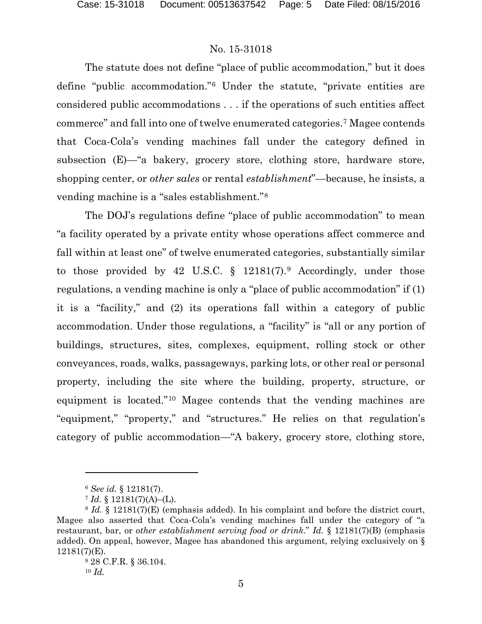The statute does not define "place of public accommodation," but it does define "public accommodation."[6](#page-4-0) Under the statute, "private entities are considered public accommodations . . . if the operations of such entities affect commerce" and fall into one of twelve enumerated categories.[7](#page-4-1) Magee contends that Coca-Cola's vending machines fall under the category defined in subsection (E)—"a bakery, grocery store, clothing store, hardware store, shopping center, or *other sales* or rental *establishment*"—because, he insists, a vending machine is a "sales establishment."[8](#page-4-2)

The DOJ's regulations define "place of public accommodation" to mean "a facility operated by a private entity whose operations affect commerce and fall within at least one" of twelve enumerated categories, substantially similar to those provided by 42 U.S.C.  $\S$  12181(7).<sup>[9](#page-4-3)</sup> Accordingly, under those regulations, a vending machine is only a "place of public accommodation" if (1) it is a "facility," and (2) its operations fall within a category of public accommodation. Under those regulations, a "facility" is "all or any portion of buildings, structures, sites, complexes, equipment, rolling stock or other conveyances, roads, walks, passageways, parking lots, or other real or personal property, including the site where the building, property, structure, or equipment is located."[10](#page-4-4) Magee contends that the vending machines are "equipment," "property," and "structures." He relies on that regulation's category of public accommodation—"A bakery, grocery store, clothing store,

<span id="page-4-4"></span><sup>10</sup> *Id.*

l

<sup>6</sup> *See id.* § 12181(7).

 $7 \text{ Id. }$  § 12181(7)(A)–(L).

<span id="page-4-3"></span><span id="page-4-2"></span><span id="page-4-1"></span><span id="page-4-0"></span><sup>8</sup> *Id.* § 12181(7)(E) (emphasis added). In his complaint and before the district court, Magee also asserted that Coca-Cola's vending machines fall under the category of "a restaurant, bar, or *other establishment serving food or drink*." *Id.* § 12181(7)(B) (emphasis added). On appeal, however, Magee has abandoned this argument, relying exclusively on § 12181(7)(E).

<sup>9</sup> 28 C.F.R. § 36.104.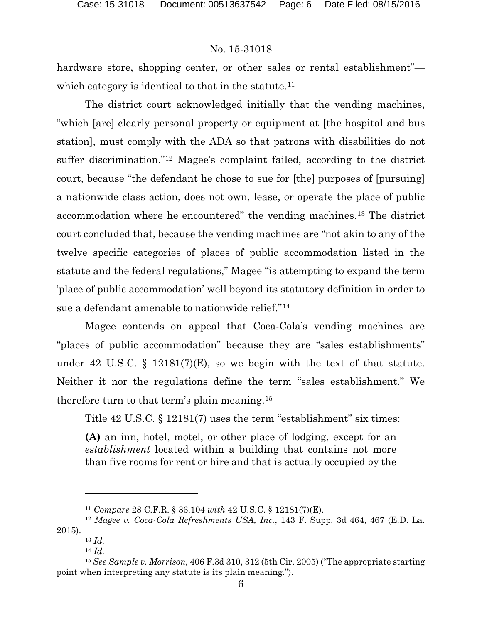hardware store, shopping center, or other sales or rental establishment"— which category is identical to that in the statute.<sup>[11](#page-5-0)</sup>

The district court acknowledged initially that the vending machines, "which [are] clearly personal property or equipment at [the hospital and bus station], must comply with the ADA so that patrons with disabilities do not suffer discrimination."[12](#page-5-1) Magee's complaint failed, according to the district court, because "the defendant he chose to sue for [the] purposes of [pursuing] a nationwide class action, does not own, lease, or operate the place of public accommodation where he encountered" the vending machines.[13](#page-5-2) The district court concluded that, because the vending machines are "not akin to any of the twelve specific categories of places of public accommodation listed in the statute and the federal regulations," Magee "is attempting to expand the term 'place of public accommodation' well beyond its statutory definition in order to sue a defendant amenable to nationwide relief."[14](#page-5-3)

Magee contends on appeal that Coca-Cola's vending machines are "places of public accommodation" because they are "sales establishments" under 42 U.S.C.  $\S$  12181(7)(E), so we begin with the text of that statute. Neither it nor the regulations define the term "sales establishment." We therefore turn to that term's plain meaning.[15](#page-5-4)

Title 42 U.S.C. § 12181(7) uses the term "establishment" six times:

**(A)** an inn, hotel, motel, or other place of lodging, except for an *establishment* located within a building that contains not more than five rooms for rent or hire and that is actually occupied by the

 $\overline{a}$ 

<sup>11</sup> *Compare* 28 C.F.R. § 36.104 *with* 42 U.S.C. § 12181(7)(E).

<span id="page-5-2"></span><span id="page-5-1"></span><span id="page-5-0"></span><sup>12</sup> *Magee v. Coca-Cola Refreshments USA, Inc.*, 143 F. Supp. 3d 464, 467 (E.D. La. 2015).

<sup>13</sup> *Id.*

<sup>14</sup> *Id.*

<span id="page-5-4"></span><span id="page-5-3"></span><sup>15</sup> *See Sample v. Morrison*, 406 F.3d 310, 312 (5th Cir. 2005) ("The appropriate starting point when interpreting any statute is its plain meaning.").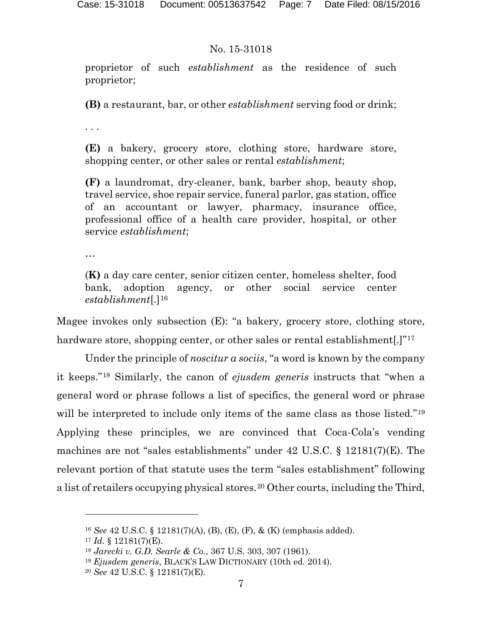proprietor of such *establishment* as the residence of such proprietor;

**(B)** a restaurant, bar, or other *establishment* serving food or drink;

. . .

**(E)** a bakery, grocery store, clothing store, hardware store, shopping center, or other sales or rental *establishment*;

**(F)** a laundromat, dry-cleaner, bank, barber shop, beauty shop, travel service, shoe repair service, funeral parlor, gas station, office of an accountant or lawyer, pharmacy, insurance office, professional office of a health care provider, hospital, or other service *establishment*;

…

(**K)** a day care center, senior citizen center, homeless shelter, food bank, adoption agency, or other social service center *establishment*[.][16](#page-6-0)

Magee invokes only subsection (E): "a bakery, grocery store, clothing store, hardware store, shopping center, or other sales or rental establishment.<sup>[[17](#page-6-1)]</sup><sup>17</sup>

Under the principle of *noscitur a sociis*, "a word is known by the company it keeps."[18](#page-6-2) Similarly, the canon of *ejusdem generis* instructs that "when a general word or phrase follows a list of specifics, the general word or phrase will be interpreted to include only items of the same class as those listed."<sup>[19](#page-6-3)</sup> Applying these principles, we are convinced that Coca-Cola's vending machines are not "sales establishments" under 42 U.S.C. § 12181(7)(E). The relevant portion of that statute uses the term "sales establishment" following a list of retailers occupying physical stores.<sup>[20](#page-6-4)</sup> Other courts, including the Third,

l

<span id="page-6-0"></span><sup>16</sup> *See* 42 U.S.C. § 12181(7)(A), (B), (E), (F), & (K) (emphasis added).

<span id="page-6-1"></span> $17$  *Id.* § 12181(7)(E).

<span id="page-6-2"></span><sup>18</sup> *Jarecki v. G.D. Searle & Co.*, 367 U.S. 303, 307 (1961).

<sup>19</sup> *Ejusdem generis*, BLACK'S LAW DICTIONARY (10th ed. 2014).

<span id="page-6-4"></span><span id="page-6-3"></span><sup>20</sup> *See* 42 U.S.C. § 12181(7)(E).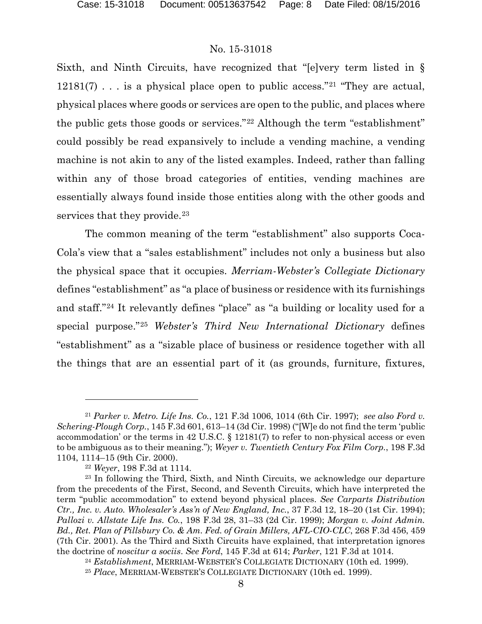Sixth, and Ninth Circuits, have recognized that "[e]very term listed in §  $12181(7)$  $12181(7)$  $12181(7)$ ... is a physical place open to public access."<sup>21</sup> "They are actual, physical places where goods or services are open to the public, and places where the public gets those goods or services."[22](#page-7-1) Although the term "establishment" could possibly be read expansively to include a vending machine, a vending machine is not akin to any of the listed examples. Indeed, rather than falling within any of those broad categories of entities, vending machines are essentially always found inside those entities along with the other goods and services that they provide.<sup>[23](#page-7-2)</sup>

The common meaning of the term "establishment" also supports Coca-Cola's view that a "sales establishment" includes not only a business but also the physical space that it occupies. *Merriam-Webster's Collegiate Dictionary* defines "establishment" as "a place of business or residence with its furnishings and staff."[24](#page-7-3) It relevantly defines "place" as "a building or locality used for a special purpose."[25](#page-7-4) *Webster's Third New International Dictionary* defines "establishment" as a "sizable place of business or residence together with all the things that are an essential part of it (as grounds, furniture, fixtures,

l

<span id="page-7-0"></span><sup>21</sup> *Parker v. Metro. Life Ins. Co.*, 121 F.3d 1006, 1014 (6th Cir. 1997); *see also Ford v. Schering-Plough Corp.*, 145 F.3d 601, 613–14 (3d Cir. 1998) ("[W]e do not find the term 'public accommodation' or the terms in 42 U.S.C. § 12181(7) to refer to non-physical access or even to be ambiguous as to their meaning."); *Weyer v. Twentieth Century Fox Film Corp.*, 198 F.3d 1104, 1114–15 (9th Cir. 2000).

<sup>22</sup> *Weyer*, 198 F.3d at 1114.

<span id="page-7-2"></span><span id="page-7-1"></span><sup>23</sup> In following the Third, Sixth, and Ninth Circuits, we acknowledge our departure from the precedents of the First, Second, and Seventh Circuits, which have interpreted the term "public accommodation" to extend beyond physical places. *See Carparts Distribution Ctr., Inc. v. Auto. Wholesaler's Ass'n of New England, Inc.*, 37 F.3d 12, 18–20 (1st Cir. 1994); *Pallozi v. Allstate Life Ins. Co.*, 198 F.3d 28, 31–33 (2d Cir. 1999); *Morgan v. Joint Admin. Bd., Ret. Plan of Pillsbury Co. & Am. Fed. of Grain Millers, AFL-CIO-CLC*, 268 F.3d 456, 459 (7th Cir. 2001). As the Third and Sixth Circuits have explained, that interpretation ignores the doctrine of *noscitur a sociis*. *See Ford*, 145 F.3d at 614; *Parker*, 121 F.3d at 1014.

<span id="page-7-3"></span><sup>24</sup> *Establishment*, MERRIAM-WEBSTER'S COLLEGIATE DICTIONARY (10th ed. 1999).

<span id="page-7-4"></span><sup>25</sup> *Place*, MERRIAM-WEBSTER'S COLLEGIATE DICTIONARY (10th ed. 1999).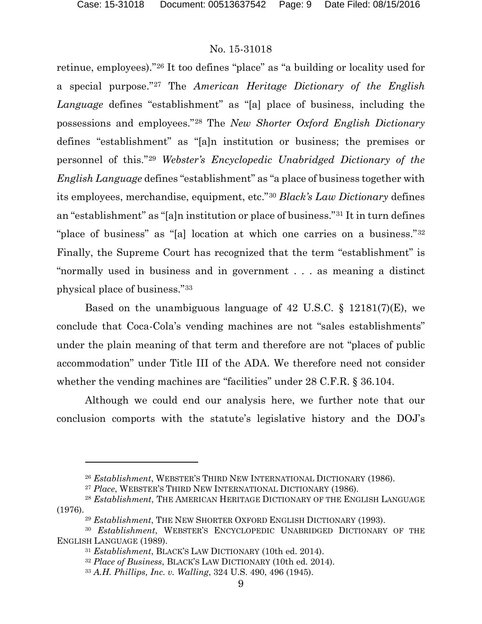$\overline{a}$ 

# No. 15-31018

retinue, employees)."[26](#page-8-0) It too defines "place" as "a building or locality used for a special purpose."[27](#page-8-1) The *American Heritage Dictionary of the English Language* defines "establishment" as "[a] place of business, including the possessions and employees."[28](#page-8-2) The *New Shorter Oxford English Dictionary* defines "establishment" as "[a]n institution or business; the premises or personnel of this."[29](#page-8-3) *Webster's Encyclopedic Unabridged Dictionary of the English Language* defines "establishment" as "a place of business together with its employees, merchandise, equipment, etc."[30](#page-8-4) *Black's Law Dictionary* defines an "establishment" as "[a]n institution or place of business."[31](#page-8-5) It in turn defines "place of business" as "[a] location at which one carries on a business."<sup>[32](#page-8-6)</sup> Finally, the Supreme Court has recognized that the term "establishment" is "normally used in business and in government . . . as meaning a distinct physical place of business."[33](#page-8-7)

Based on the unambiguous language of 42 U.S.C. § 12181(7)(E), we conclude that Coca-Cola's vending machines are not "sales establishments" under the plain meaning of that term and therefore are not "places of public accommodation" under Title III of the ADA. We therefore need not consider whether the vending machines are "facilities" under 28 C.F.R. § 36.104.

Although we could end our analysis here, we further note that our conclusion comports with the statute's legislative history and the DOJ's

<sup>26</sup> *Establishment*, WEBSTER'S THIRD NEW INTERNATIONAL DICTIONARY (1986).

<sup>27</sup> *Place*, WEBSTER'S THIRD NEW INTERNATIONAL DICTIONARY (1986).

<span id="page-8-2"></span><span id="page-8-1"></span><span id="page-8-0"></span><sup>28</sup> *Establishment*, THE AMERICAN HERITAGE DICTIONARY OF THE ENGLISH LANGUAGE (1976).

<sup>29</sup> *Establishment*, THE NEW SHORTER OXFORD ENGLISH DICTIONARY (1993).

<span id="page-8-7"></span><span id="page-8-6"></span><span id="page-8-5"></span><span id="page-8-4"></span><span id="page-8-3"></span><sup>30</sup> *Establishment*, WEBSTER'S ENCYCLOPEDIC UNABRIDGED DICTIONARY OF THE ENGLISH LANGUAGE (1989).

<sup>31</sup> *Establishment*, BLACK'S LAW DICTIONARY (10th ed. 2014).

<sup>32</sup> *Place of Business*, BLACK'S LAW DICTIONARY (10th ed. 2014).

<sup>33</sup> *A.H. Phillips, Inc. v. Walling*, 324 U.S. 490, 496 (1945).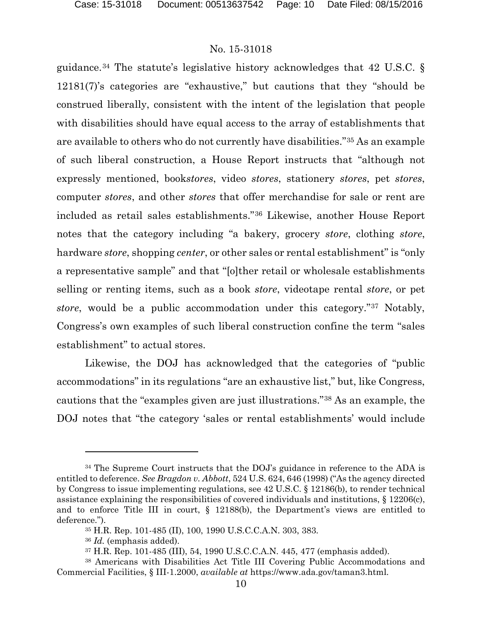guidance.<sup>[34](#page-9-0)</sup> The statute's legislative history acknowledges that 42 U.S.C.  $\S$ 12181(7)'s categories are "exhaustive," but cautions that they "should be construed liberally, consistent with the intent of the legislation that people with disabilities should have equal access to the array of establishments that are available to others who do not currently have disabilities."[35](#page-9-1) As an example of such liberal construction, a House Report instructs that "although not expressly mentioned, book*stores*, video *stores*, stationery *stores*, pet *stores*, computer *stores*, and other *stores* that offer merchandise for sale or rent are included as retail sales establishments."[36](#page-9-2) Likewise, another House Report notes that the category including "a bakery, grocery *store*, clothing *store*, hardware *store*, shopping *center*, or other sales or rental establishment" is "only a representative sample" and that "[o]ther retail or wholesale establishments selling or renting items, such as a book *store*, videotape rental *store*, or pet *store*, would be a public accommodation under this category."[37](#page-9-3) Notably, Congress's own examples of such liberal construction confine the term "sales establishment" to actual stores.

Likewise, the DOJ has acknowledged that the categories of "public accommodations" in its regulations "are an exhaustive list," but, like Congress, cautions that the "examples given are just illustrations."[38](#page-9-4) As an example, the DOJ notes that "the category 'sales or rental establishments' would include

 $\overline{a}$ 

<span id="page-9-0"></span><sup>34</sup> The Supreme Court instructs that the DOJ's guidance in reference to the ADA is entitled to deference. *See Bragdon v. Abbott*, 524 U.S. 624, 646 (1998) ("As the agency directed by Congress to issue implementing regulations, see 42 U.S.C. § 12186(b), to render technical assistance explaining the responsibilities of covered individuals and institutions, § 12206(c), and to enforce Title III in court, § 12188(b), the Department's views are entitled to deference.").

<sup>35</sup> H.R. Rep. 101-485 (II), 100, 1990 U.S.C.C.A.N. 303, 383.

<sup>36</sup> *Id.* (emphasis added).

<sup>37</sup> H.R. Rep. 101-485 (III), 54, 1990 U.S.C.C.A.N. 445, 477 (emphasis added).

<span id="page-9-4"></span><span id="page-9-3"></span><span id="page-9-2"></span><span id="page-9-1"></span><sup>38</sup> Americans with Disabilities Act Title III Covering Public Accommodations and Commercial Facilities, § III-1.2000, *available at* https://www.ada.gov/taman3.html.